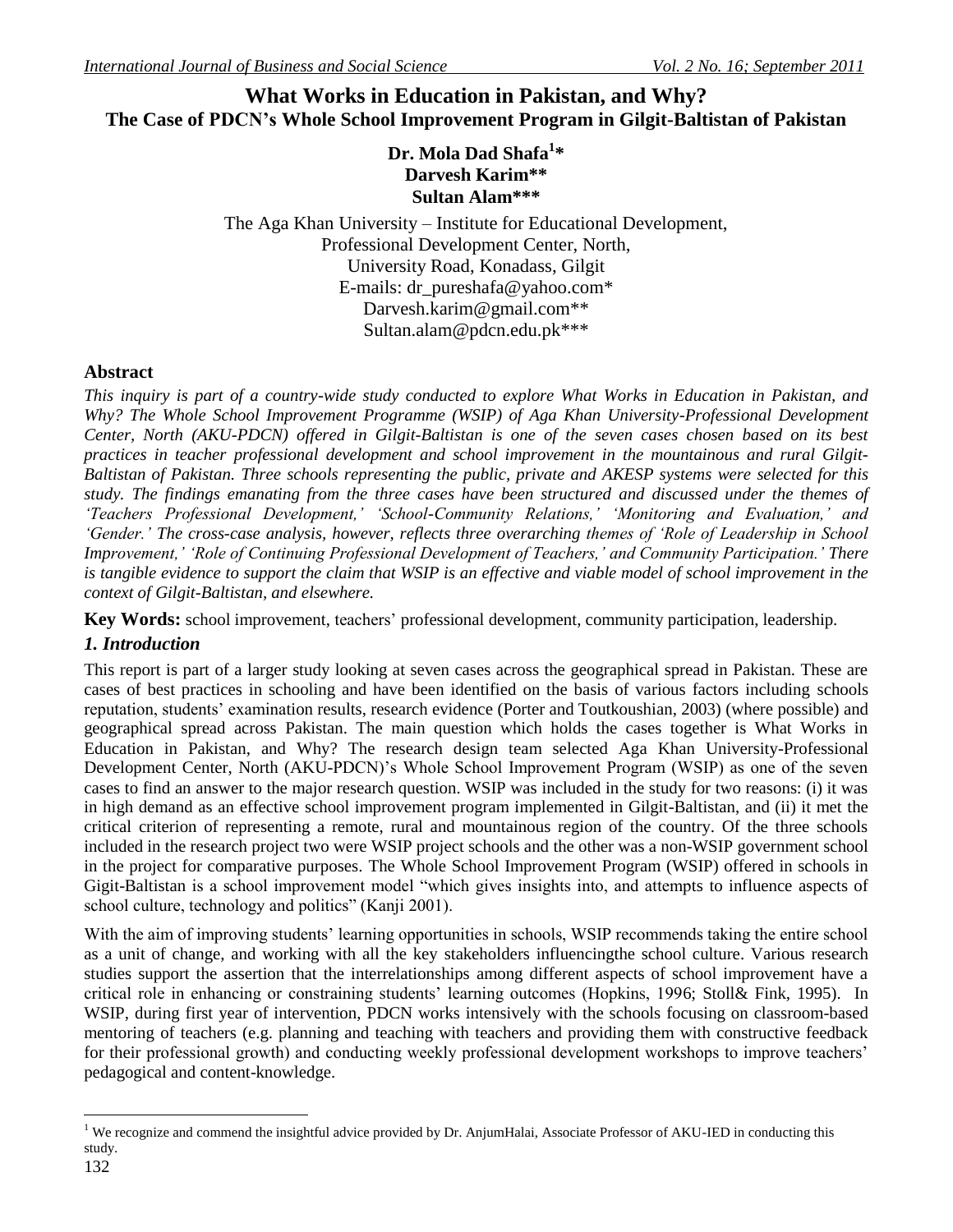# **What Works in Education in Pakistan, and Why? The Case of PDCN's Whole School Improvement Program in Gilgit-Baltistan of Pakistan**

# **Dr. Mola Dad Shafa<sup>1</sup> \* Darvesh Karim\*\* Sultan Alam\*\*\***

The Aga Khan University – Institute for Educational Development, Professional Development Center, North, University Road, Konadass, Gilgit E-mails: [dr\\_pureshafa@yahoo.com\\*](mailto:dr_pureshafa@yahoo.com) [Darvesh.karim@gmail.com\\*](mailto:Darvesh.karim@gmail.com)\* Sultan.alam@pdcn.edu.pk\*\*\*

# **Abstract**

*This inquiry is part of a country-wide study conducted to explore What Works in Education in Pakistan, and Why? The Whole School Improvement Programme (WSIP) of Aga Khan University-Professional Development Center, North (AKU-PDCN) offered in Gilgit-Baltistan is one of the seven cases chosen based on its best practices in teacher professional development and school improvement in the mountainous and rural Gilgit-Baltistan of Pakistan. Three schools representing the public, private and AKESP systems were selected for this study. The findings emanating from the three cases have been structured and discussed under the themes of "Teachers Professional Development," "School-Community Relations," "Monitoring and Evaluation," and "Gender." The cross-case analysis, however, reflects three overarching themes of "Role of Leadership in School Improvement," "Role of Continuing Professional Development of Teachers," and Community Participation." There is tangible evidence to support the claim that WSIP is an effective and viable model of school improvement in the context of Gilgit-Baltistan, and elsewhere.* 

**Key Words:** school improvement, teachers' professional development, community participation, leadership.

# *1. Introduction*

This report is part of a larger study looking at seven cases across the geographical spread in Pakistan. These are cases of best practices in schooling and have been identified on the basis of various factors including schools reputation, students' examination results, research evidence (Porter and Toutkoushian, 2003) (where possible) and geographical spread across Pakistan. The main question which holds the cases together is What Works in Education in Pakistan, and Why? The research design team selected Aga Khan University-Professional Development Center, North (AKU-PDCN)'s Whole School Improvement Program (WSIP) as one of the seven cases to find an answer to the major research question. WSIP was included in the study for two reasons: (i) it was in high demand as an effective school improvement program implemented in Gilgit-Baltistan, and (ii) it met the critical criterion of representing a remote, rural and mountainous region of the country. Of the three schools included in the research project two were WSIP project schools and the other was a non-WSIP government school in the project for comparative purposes. The Whole School Improvement Program (WSIP) offered in schools in Gigit-Baltistan is a school improvement model "which gives insights into, and attempts to influence aspects of school culture, technology and politics" (Kanji 2001).

With the aim of improving students' learning opportunities in schools, WSIP recommends taking the entire school as a unit of change, and working with all the key stakeholders influencingthe school culture. Various research studies support the assertion that the interrelationships among different aspects of school improvement have a critical role in enhancing or constraining students' learning outcomes (Hopkins, 1996; Stoll& Fink, 1995). In WSIP, during first year of intervention, PDCN works intensively with the schools focusing on classroom-based mentoring of teachers (e.g. planning and teaching with teachers and providing them with constructive feedback for their professional growth) and conducting weekly professional development workshops to improve teachers' pedagogical and content-knowledge.

 $\overline{a}$ 

<sup>&</sup>lt;sup>1</sup> We recognize and commend the insightful advice provided by Dr. AnjumHalai, Associate Professor of AKU-IED in conducting this study.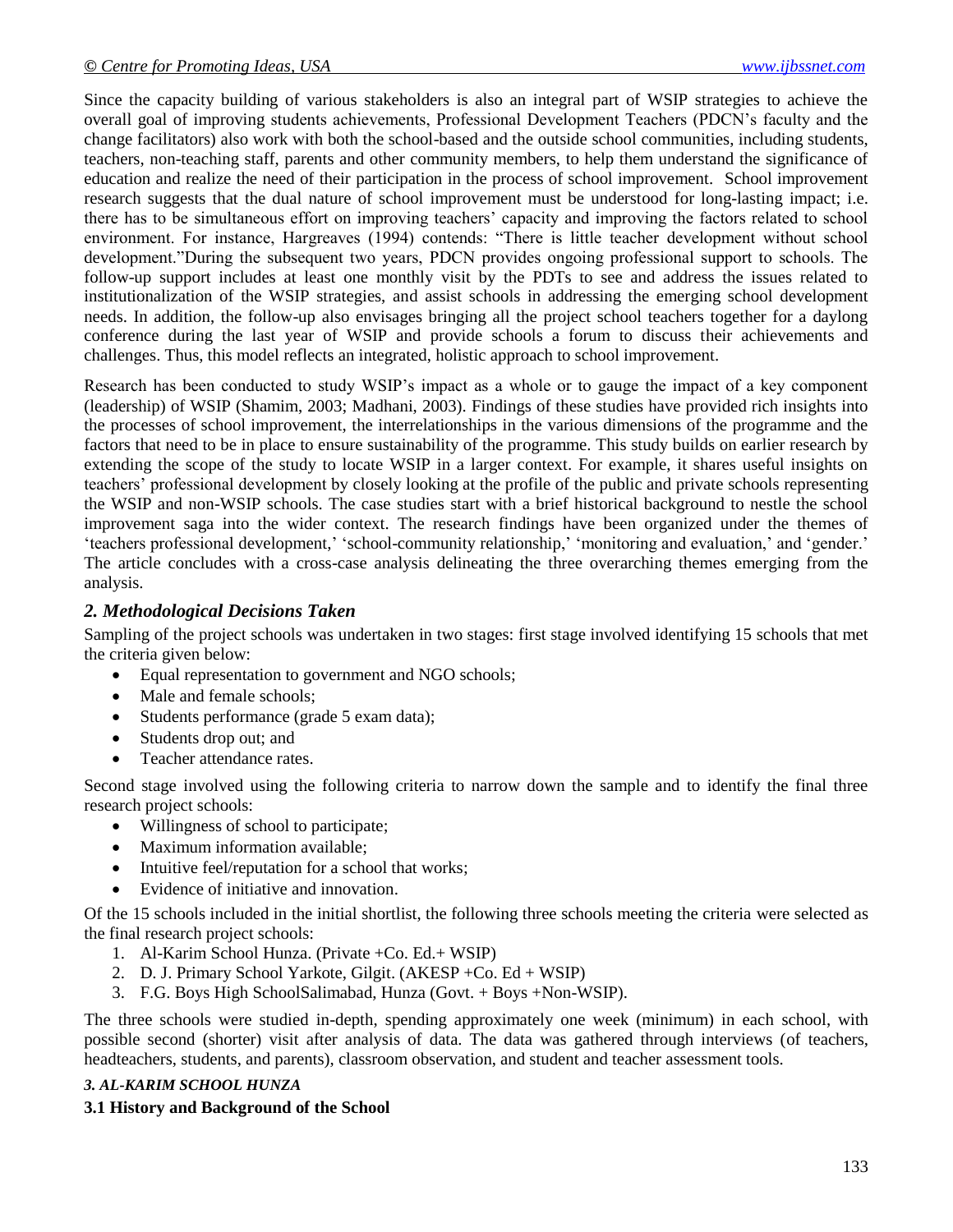Since the capacity building of various stakeholders is also an integral part of WSIP strategies to achieve the overall goal of improving students achievements, Professional Development Teachers (PDCN's faculty and the change facilitators) also work with both the school-based and the outside school communities, including students, teachers, non-teaching staff, parents and other community members, to help them understand the significance of education and realize the need of their participation in the process of school improvement. School improvement research suggests that the dual nature of school improvement must be understood for long-lasting impact; i.e. there has to be simultaneous effort on improving teachers' capacity and improving the factors related to school environment. For instance, Hargreaves (1994) contends: "There is little teacher development without school development."During the subsequent two years, PDCN provides ongoing professional support to schools. The follow-up support includes at least one monthly visit by the PDTs to see and address the issues related to institutionalization of the WSIP strategies, and assist schools in addressing the emerging school development needs. In addition, the follow-up also envisages bringing all the project school teachers together for a daylong conference during the last year of WSIP and provide schools a forum to discuss their achievements and challenges. Thus, this model reflects an integrated, holistic approach to school improvement.

Research has been conducted to study WSIP's impact as a whole or to gauge the impact of a key component (leadership) of WSIP (Shamim, 2003; Madhani, 2003). Findings of these studies have provided rich insights into the processes of school improvement, the interrelationships in the various dimensions of the programme and the factors that need to be in place to ensure sustainability of the programme. This study builds on earlier research by extending the scope of the study to locate WSIP in a larger context. For example, it shares useful insights on teachers' professional development by closely looking at the profile of the public and private schools representing the WSIP and non-WSIP schools. The case studies start with a brief historical background to nestle the school improvement saga into the wider context. The research findings have been organized under the themes of ‗teachers professional development,' ‗school-community relationship,' ‗monitoring and evaluation,' and ‗gender.' The article concludes with a cross-case analysis delineating the three overarching themes emerging from the analysis.

## *2. Methodological Decisions Taken*

Sampling of the project schools was undertaken in two stages: first stage involved identifying 15 schools that met the criteria given below:

- Equal representation to government and NGO schools;
- Male and female schools;
- Students performance (grade 5 exam data);
- Students drop out; and
- Teacher attendance rates.

Second stage involved using the following criteria to narrow down the sample and to identify the final three research project schools:

- Willingness of school to participate;
- Maximum information available;
- Intuitive feel/reputation for a school that works;
- Evidence of initiative and innovation.

Of the 15 schools included in the initial shortlist, the following three schools meeting the criteria were selected as the final research project schools:

- 1. Al-Karim School Hunza. (Private +Co. Ed.+ WSIP)
- 2. D. J. Primary School Yarkote, Gilgit. (AKESP +Co. Ed + WSIP)
- 3. F.G. Boys High SchoolSalimabad, Hunza (Govt. + Boys +Non-WSIP).

The three schools were studied in-depth, spending approximately one week (minimum) in each school, with possible second (shorter) visit after analysis of data. The data was gathered through interviews (of teachers, headteachers, students, and parents), classroom observation, and student and teacher assessment tools.

#### *3. AL-KARIM SCHOOL HUNZA*

## **3.1 History and Background of the School**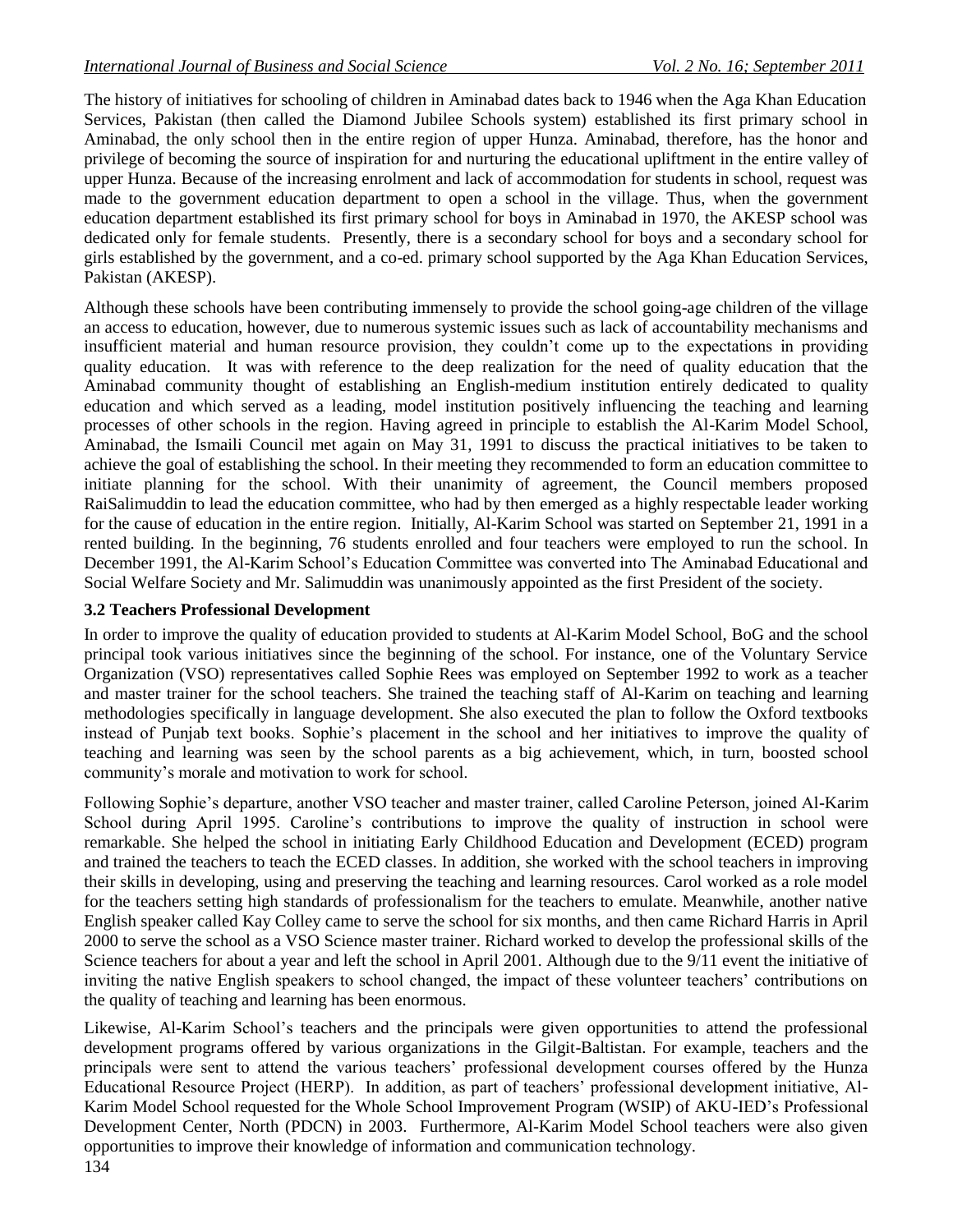The history of initiatives for schooling of children in Aminabad dates back to 1946 when the Aga Khan Education Services, Pakistan (then called the Diamond Jubilee Schools system) established its first primary school in Aminabad, the only school then in the entire region of upper Hunza. Aminabad, therefore, has the honor and privilege of becoming the source of inspiration for and nurturing the educational upliftment in the entire valley of upper Hunza. Because of the increasing enrolment and lack of accommodation for students in school, request was made to the government education department to open a school in the village. Thus, when the government education department established its first primary school for boys in Aminabad in 1970, the AKESP school was dedicated only for female students. Presently, there is a secondary school for boys and a secondary school for girls established by the government, and a co-ed. primary school supported by the Aga Khan Education Services, Pakistan (AKESP).

Although these schools have been contributing immensely to provide the school going-age children of the village an access to education, however, due to numerous systemic issues such as lack of accountability mechanisms and insufficient material and human resource provision, they couldn't come up to the expectations in providing quality education. It was with reference to the deep realization for the need of quality education that the Aminabad community thought of establishing an English-medium institution entirely dedicated to quality education and which served as a leading, model institution positively influencing the teaching and learning processes of other schools in the region. Having agreed in principle to establish the Al-Karim Model School, Aminabad, the Ismaili Council met again on May 31, 1991 to discuss the practical initiatives to be taken to achieve the goal of establishing the school. In their meeting they recommended to form an education committee to initiate planning for the school. With their unanimity of agreement, the Council members proposed RaiSalimuddin to lead the education committee, who had by then emerged as a highly respectable leader working for the cause of education in the entire region. Initially, Al-Karim School was started on September 21, 1991 in a rented building. In the beginning, 76 students enrolled and four teachers were employed to run the school. In December 1991, the Al-Karim School's Education Committee was converted into The Aminabad Educational and Social Welfare Society and Mr. Salimuddin was unanimously appointed as the first President of the society.

## **3.2 Teachers Professional Development**

In order to improve the quality of education provided to students at Al-Karim Model School, BoG and the school principal took various initiatives since the beginning of the school. For instance, one of the Voluntary Service Organization (VSO) representatives called Sophie Rees was employed on September 1992 to work as a teacher and master trainer for the school teachers. She trained the teaching staff of Al-Karim on teaching and learning methodologies specifically in language development. She also executed the plan to follow the Oxford textbooks instead of Punjab text books. Sophie's placement in the school and her initiatives to improve the quality of teaching and learning was seen by the school parents as a big achievement, which, in turn, boosted school community's morale and motivation to work for school.

Following Sophie's departure, another VSO teacher and master trainer, called Caroline Peterson, joined Al-Karim School during April 1995. Caroline's contributions to improve the quality of instruction in school were remarkable. She helped the school in initiating Early Childhood Education and Development (ECED) program and trained the teachers to teach the ECED classes. In addition, she worked with the school teachers in improving their skills in developing, using and preserving the teaching and learning resources. Carol worked as a role model for the teachers setting high standards of professionalism for the teachers to emulate. Meanwhile, another native English speaker called Kay Colley came to serve the school for six months, and then came Richard Harris in April 2000 to serve the school as a VSO Science master trainer. Richard worked to develop the professional skills of the Science teachers for about a year and left the school in April 2001. Although due to the 9/11 event the initiative of inviting the native English speakers to school changed, the impact of these volunteer teachers' contributions on the quality of teaching and learning has been enormous.

134 Likewise, Al-Karim School's teachers and the principals were given opportunities to attend the professional development programs offered by various organizations in the Gilgit-Baltistan. For example, teachers and the principals were sent to attend the various teachers' professional development courses offered by the Hunza Educational Resource Project (HERP). In addition, as part of teachers' professional development initiative, Al-Karim Model School requested for the Whole School Improvement Program (WSIP) of AKU-IED's Professional Development Center, North (PDCN) in 2003. Furthermore, Al-Karim Model School teachers were also given opportunities to improve their knowledge of information and communication technology.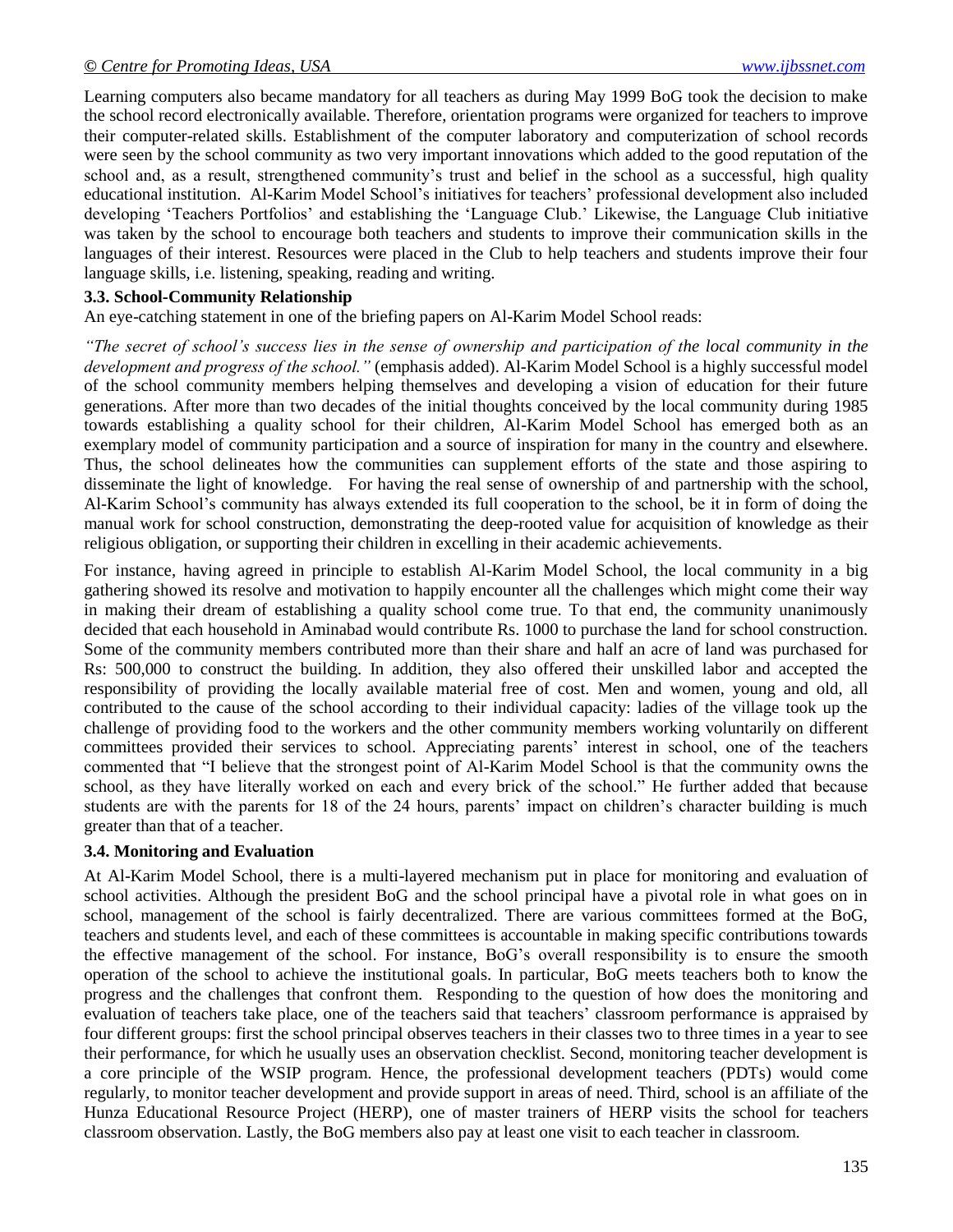Learning computers also became mandatory for all teachers as during May 1999 BoG took the decision to make the school record electronically available. Therefore, orientation programs were organized for teachers to improve their computer-related skills. Establishment of the computer laboratory and computerization of school records were seen by the school community as two very important innovations which added to the good reputation of the school and, as a result, strengthened community's trust and belief in the school as a successful, high quality educational institution. Al-Karim Model School's initiatives for teachers' professional development also included developing ‗Teachers Portfolios' and establishing the ‗Language Club.' Likewise, the Language Club initiative was taken by the school to encourage both teachers and students to improve their communication skills in the languages of their interest. Resources were placed in the Club to help teachers and students improve their four language skills, i.e. listening, speaking, reading and writing.

#### **3.3. School-Community Relationship**

An eye-catching statement in one of the briefing papers on Al-Karim Model School reads:

*"The secret of school"s success lies in the sense of ownership and participation of the local community in the development and progress of the school."* (emphasis added). Al-Karim Model School is a highly successful model of the school community members helping themselves and developing a vision of education for their future generations. After more than two decades of the initial thoughts conceived by the local community during 1985 towards establishing a quality school for their children, Al-Karim Model School has emerged both as an exemplary model of community participation and a source of inspiration for many in the country and elsewhere. Thus, the school delineates how the communities can supplement efforts of the state and those aspiring to disseminate the light of knowledge. For having the real sense of ownership of and partnership with the school, Al-Karim School's community has always extended its full cooperation to the school, be it in form of doing the manual work for school construction, demonstrating the deep-rooted value for acquisition of knowledge as their religious obligation, or supporting their children in excelling in their academic achievements.

For instance, having agreed in principle to establish Al-Karim Model School, the local community in a big gathering showed its resolve and motivation to happily encounter all the challenges which might come their way in making their dream of establishing a quality school come true. To that end, the community unanimously decided that each household in Aminabad would contribute Rs. 1000 to purchase the land for school construction. Some of the community members contributed more than their share and half an acre of land was purchased for Rs: 500,000 to construct the building. In addition, they also offered their unskilled labor and accepted the responsibility of providing the locally available material free of cost. Men and women, young and old, all contributed to the cause of the school according to their individual capacity: ladies of the village took up the challenge of providing food to the workers and the other community members working voluntarily on different committees provided their services to school. Appreciating parents' interest in school, one of the teachers commented that "I believe that the strongest point of Al-Karim Model School is that the community owns the school, as they have literally worked on each and every brick of the school." He further added that because students are with the parents for 18 of the 24 hours, parents' impact on children's character building is much greater than that of a teacher.

#### **3.4. Monitoring and Evaluation**

At Al-Karim Model School, there is a multi-layered mechanism put in place for monitoring and evaluation of school activities. Although the president BoG and the school principal have a pivotal role in what goes on in school, management of the school is fairly decentralized. There are various committees formed at the BoG, teachers and students level, and each of these committees is accountable in making specific contributions towards the effective management of the school. For instance, BoG's overall responsibility is to ensure the smooth operation of the school to achieve the institutional goals. In particular, BoG meets teachers both to know the progress and the challenges that confront them. Responding to the question of how does the monitoring and evaluation of teachers take place, one of the teachers said that teachers' classroom performance is appraised by four different groups: first the school principal observes teachers in their classes two to three times in a year to see their performance, for which he usually uses an observation checklist. Second, monitoring teacher development is a core principle of the WSIP program. Hence, the professional development teachers (PDTs) would come regularly, to monitor teacher development and provide support in areas of need. Third, school is an affiliate of the Hunza Educational Resource Project (HERP), one of master trainers of HERP visits the school for teachers classroom observation. Lastly, the BoG members also pay at least one visit to each teacher in classroom.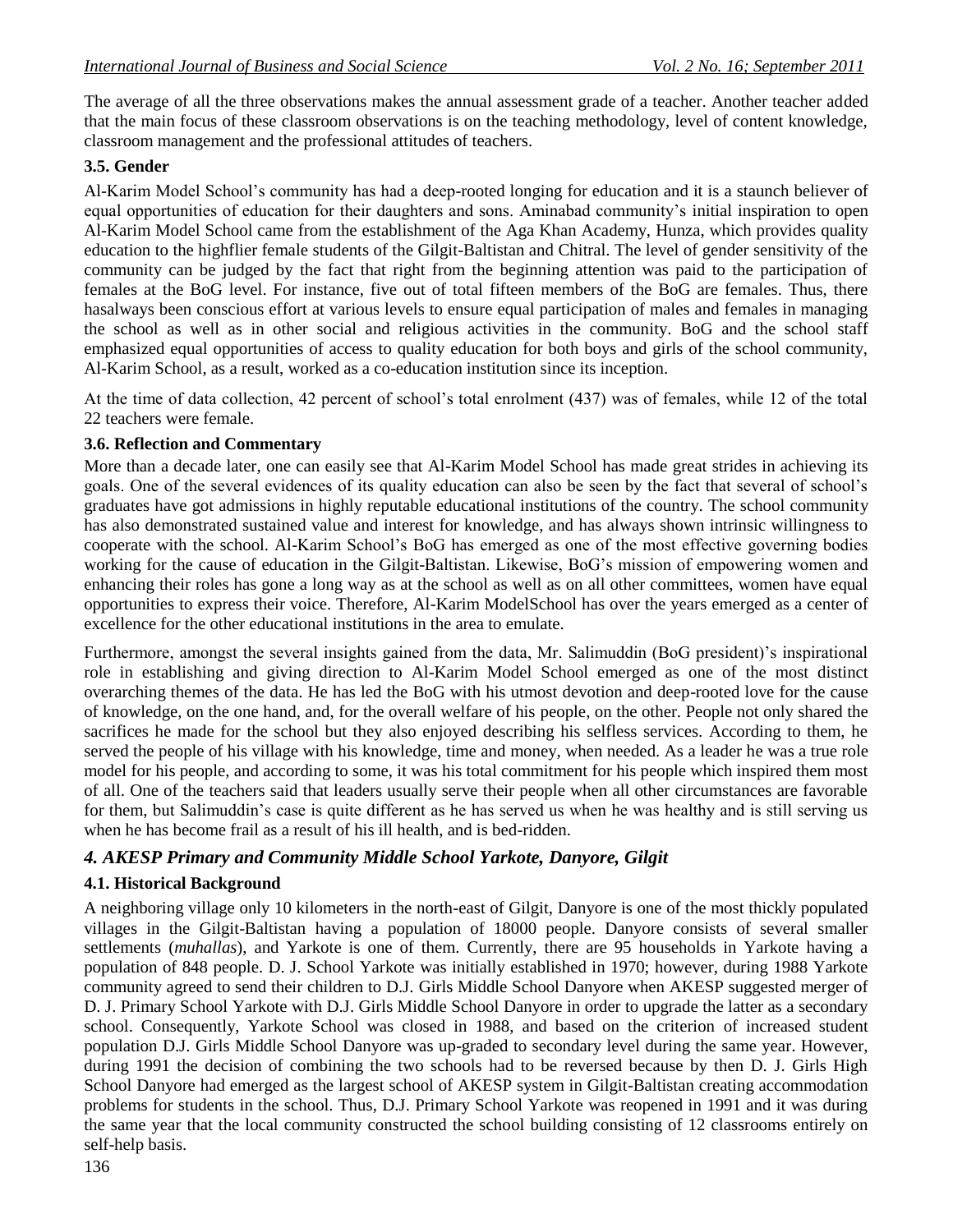The average of all the three observations makes the annual assessment grade of a teacher. Another teacher added that the main focus of these classroom observations is on the teaching methodology, level of content knowledge, classroom management and the professional attitudes of teachers.

#### **3.5. Gender**

Al-Karim Model School's community has had a deep-rooted longing for education and it is a staunch believer of equal opportunities of education for their daughters and sons. Aminabad community's initial inspiration to open Al-Karim Model School came from the establishment of the Aga Khan Academy, Hunza, which provides quality education to the highflier female students of the Gilgit-Baltistan and Chitral. The level of gender sensitivity of the community can be judged by the fact that right from the beginning attention was paid to the participation of females at the BoG level. For instance, five out of total fifteen members of the BoG are females. Thus, there hasalways been conscious effort at various levels to ensure equal participation of males and females in managing the school as well as in other social and religious activities in the community. BoG and the school staff emphasized equal opportunities of access to quality education for both boys and girls of the school community, Al-Karim School, as a result, worked as a co-education institution since its inception.

At the time of data collection, 42 percent of school's total enrolment (437) was of females, while 12 of the total 22 teachers were female.

#### **3.6. Reflection and Commentary**

More than a decade later, one can easily see that Al-Karim Model School has made great strides in achieving its goals. One of the several evidences of its quality education can also be seen by the fact that several of school's graduates have got admissions in highly reputable educational institutions of the country. The school community has also demonstrated sustained value and interest for knowledge, and has always shown intrinsic willingness to cooperate with the school. Al-Karim School's BoG has emerged as one of the most effective governing bodies working for the cause of education in the Gilgit-Baltistan. Likewise, BoG's mission of empowering women and enhancing their roles has gone a long way as at the school as well as on all other committees, women have equal opportunities to express their voice. Therefore, Al-Karim ModelSchool has over the years emerged as a center of excellence for the other educational institutions in the area to emulate.

Furthermore, amongst the several insights gained from the data, Mr. Salimuddin (BoG president)'s inspirational role in establishing and giving direction to Al-Karim Model School emerged as one of the most distinct overarching themes of the data. He has led the BoG with his utmost devotion and deep-rooted love for the cause of knowledge, on the one hand, and, for the overall welfare of his people, on the other. People not only shared the sacrifices he made for the school but they also enjoyed describing his selfless services. According to them, he served the people of his village with his knowledge, time and money, when needed. As a leader he was a true role model for his people, and according to some, it was his total commitment for his people which inspired them most of all. One of the teachers said that leaders usually serve their people when all other circumstances are favorable for them, but Salimuddin's case is quite different as he has served us when he was healthy and is still serving us when he has become frail as a result of his ill health, and is bed-ridden.

## *4. AKESP Primary and Community Middle School Yarkote, Danyore, Gilgit*

## **4.1. Historical Background**

A neighboring village only 10 kilometers in the north-east of Gilgit, Danyore is one of the most thickly populated villages in the Gilgit-Baltistan having a population of 18000 people. Danyore consists of several smaller settlements (*muhallas*), and Yarkote is one of them. Currently, there are 95 households in Yarkote having a population of 848 people. D. J. School Yarkote was initially established in 1970; however, during 1988 Yarkote community agreed to send their children to D.J. Girls Middle School Danyore when AKESP suggested merger of D. J. Primary School Yarkote with D.J. Girls Middle School Danyore in order to upgrade the latter as a secondary school. Consequently, Yarkote School was closed in 1988, and based on the criterion of increased student population D.J. Girls Middle School Danyore was up-graded to secondary level during the same year. However, during 1991 the decision of combining the two schools had to be reversed because by then D. J. Girls High School Danyore had emerged as the largest school of AKESP system in Gilgit-Baltistan creating accommodation problems for students in the school. Thus, D.J. Primary School Yarkote was reopened in 1991 and it was during the same year that the local community constructed the school building consisting of 12 classrooms entirely on self-help basis.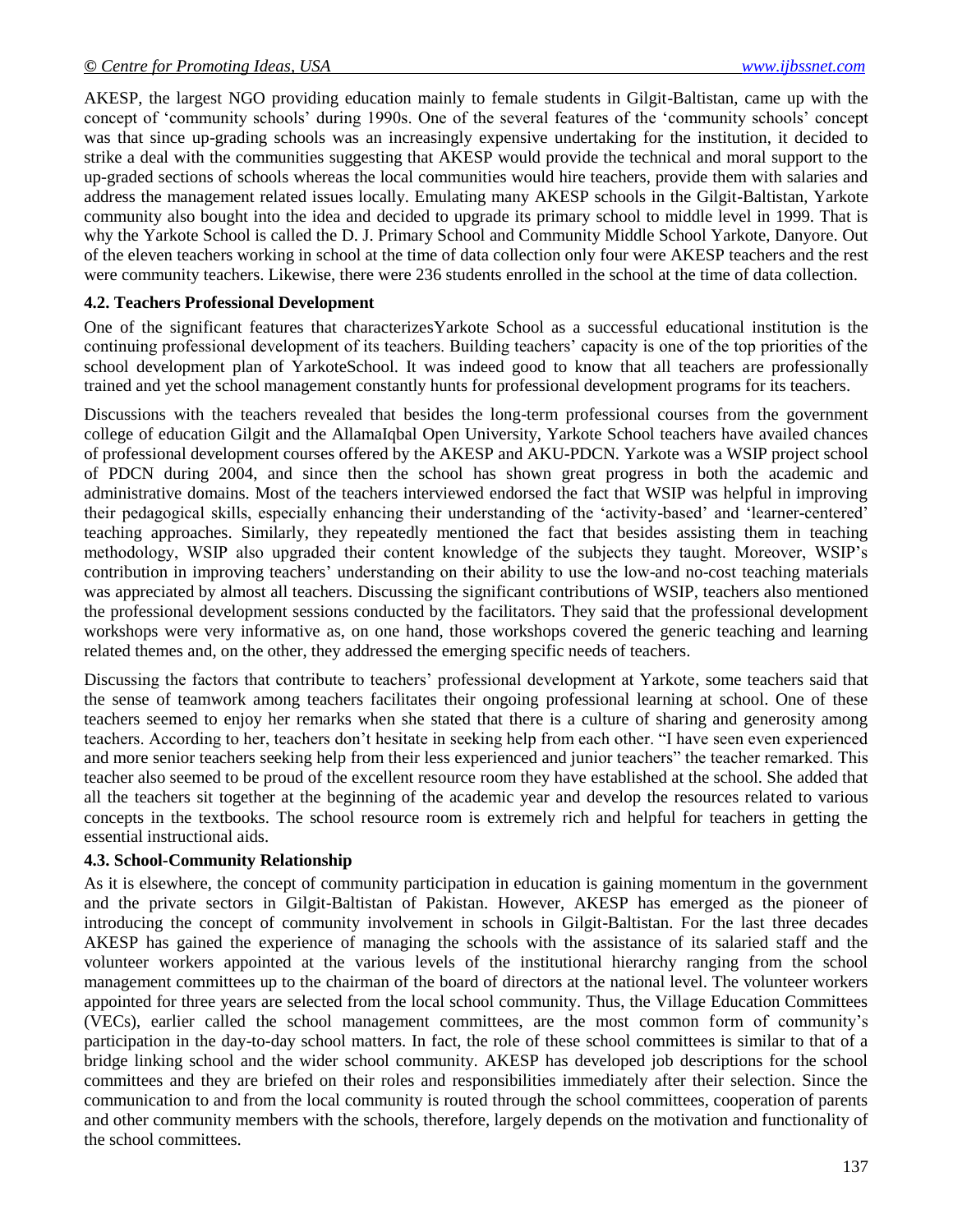AKESP, the largest NGO providing education mainly to female students in Gilgit-Baltistan, came up with the concept of ‗community schools' during 1990s. One of the several features of the ‗community schools' concept was that since up-grading schools was an increasingly expensive undertaking for the institution, it decided to strike a deal with the communities suggesting that AKESP would provide the technical and moral support to the up-graded sections of schools whereas the local communities would hire teachers, provide them with salaries and address the management related issues locally. Emulating many AKESP schools in the Gilgit-Baltistan, Yarkote community also bought into the idea and decided to upgrade its primary school to middle level in 1999. That is why the Yarkote School is called the D. J. Primary School and Community Middle School Yarkote, Danyore. Out of the eleven teachers working in school at the time of data collection only four were AKESP teachers and the rest were community teachers. Likewise, there were 236 students enrolled in the school at the time of data collection.

#### **4.2. Teachers Professional Development**

One of the significant features that characterizesYarkote School as a successful educational institution is the continuing professional development of its teachers. Building teachers' capacity is one of the top priorities of the school development plan of YarkoteSchool. It was indeed good to know that all teachers are professionally trained and yet the school management constantly hunts for professional development programs for its teachers.

Discussions with the teachers revealed that besides the long-term professional courses from the government college of education Gilgit and the AllamaIqbal Open University, Yarkote School teachers have availed chances of professional development courses offered by the AKESP and AKU-PDCN. Yarkote was a WSIP project school of PDCN during 2004, and since then the school has shown great progress in both the academic and administrative domains. Most of the teachers interviewed endorsed the fact that WSIP was helpful in improving their pedagogical skills, especially enhancing their understanding of the ‗activity-based' and ‗learner-centered' teaching approaches. Similarly, they repeatedly mentioned the fact that besides assisting them in teaching methodology, WSIP also upgraded their content knowledge of the subjects they taught. Moreover, WSIP's contribution in improving teachers' understanding on their ability to use the low-and no-cost teaching materials was appreciated by almost all teachers. Discussing the significant contributions of WSIP, teachers also mentioned the professional development sessions conducted by the facilitators. They said that the professional development workshops were very informative as, on one hand, those workshops covered the generic teaching and learning related themes and, on the other, they addressed the emerging specific needs of teachers.

Discussing the factors that contribute to teachers' professional development at Yarkote, some teachers said that the sense of teamwork among teachers facilitates their ongoing professional learning at school. One of these teachers seemed to enjoy her remarks when she stated that there is a culture of sharing and generosity among teachers. According to her, teachers don't hesitate in seeking help from each other. "I have seen even experienced and more senior teachers seeking help from their less experienced and junior teachers" the teacher remarked. This teacher also seemed to be proud of the excellent resource room they have established at the school. She added that all the teachers sit together at the beginning of the academic year and develop the resources related to various concepts in the textbooks. The school resource room is extremely rich and helpful for teachers in getting the essential instructional aids.

#### **4.3. School-Community Relationship**

As it is elsewhere, the concept of community participation in education is gaining momentum in the government and the private sectors in Gilgit-Baltistan of Pakistan. However, AKESP has emerged as the pioneer of introducing the concept of community involvement in schools in Gilgit-Baltistan. For the last three decades AKESP has gained the experience of managing the schools with the assistance of its salaried staff and the volunteer workers appointed at the various levels of the institutional hierarchy ranging from the school management committees up to the chairman of the board of directors at the national level. The volunteer workers appointed for three years are selected from the local school community. Thus, the Village Education Committees (VECs), earlier called the school management committees, are the most common form of community's participation in the day-to-day school matters. In fact, the role of these school committees is similar to that of a bridge linking school and the wider school community. AKESP has developed job descriptions for the school committees and they are briefed on their roles and responsibilities immediately after their selection. Since the communication to and from the local community is routed through the school committees, cooperation of parents and other community members with the schools, therefore, largely depends on the motivation and functionality of the school committees.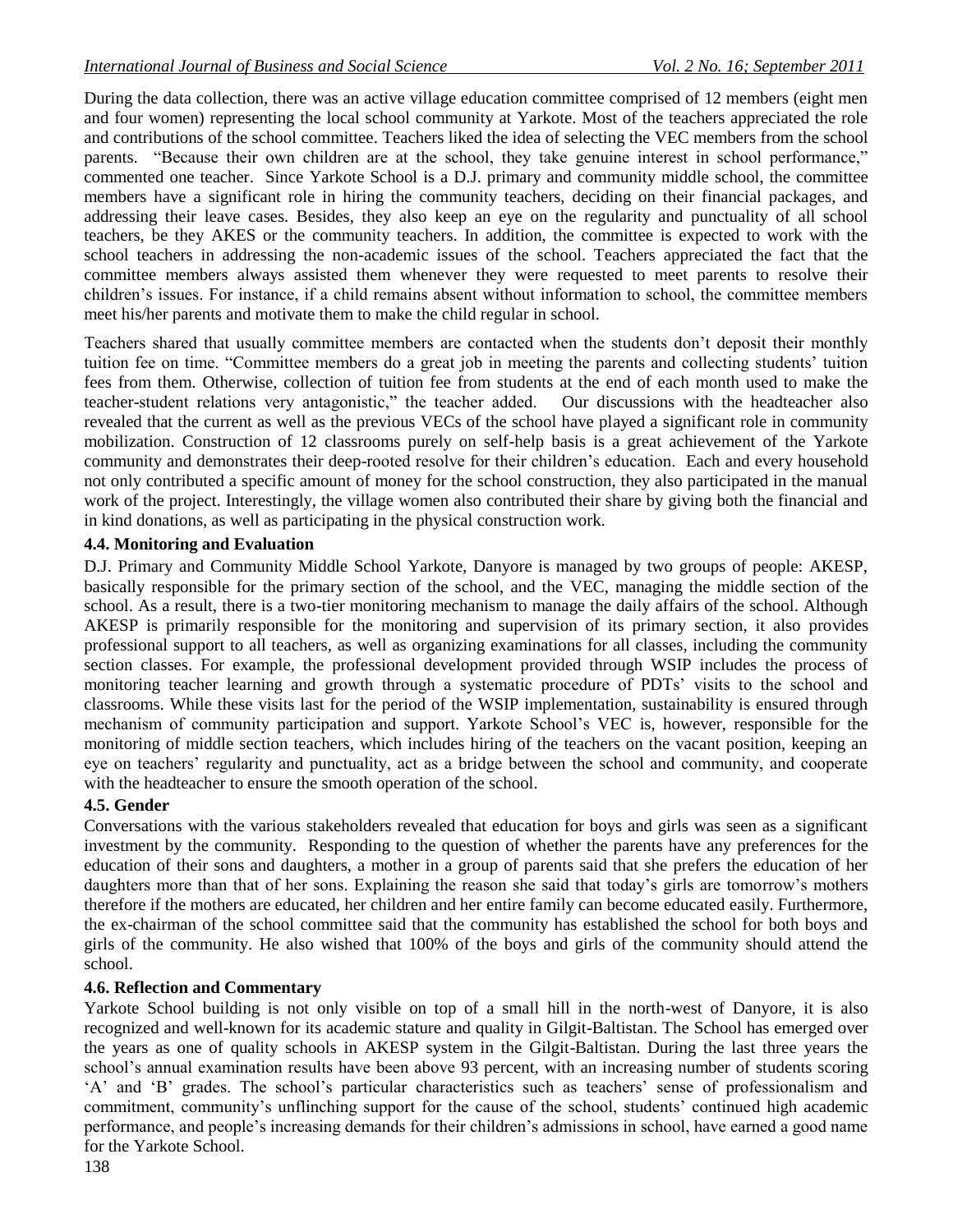During the data collection, there was an active village education committee comprised of 12 members (eight men and four women) representing the local school community at Yarkote. Most of the teachers appreciated the role and contributions of the school committee. Teachers liked the idea of selecting the VEC members from the school parents. "Because their own children are at the school, they take genuine interest in school performance," commented one teacher. Since Yarkote School is a D.J. primary and community middle school, the committee members have a significant role in hiring the community teachers, deciding on their financial packages, and addressing their leave cases. Besides, they also keep an eye on the regularity and punctuality of all school teachers, be they AKES or the community teachers. In addition, the committee is expected to work with the school teachers in addressing the non-academic issues of the school. Teachers appreciated the fact that the committee members always assisted them whenever they were requested to meet parents to resolve their children's issues. For instance, if a child remains absent without information to school, the committee members meet his/her parents and motivate them to make the child regular in school.

Teachers shared that usually committee members are contacted when the students don't deposit their monthly tuition fee on time. ―Committee members do a great job in meeting the parents and collecting students' tuition fees from them. Otherwise, collection of tuition fee from students at the end of each month used to make the teacher-student relations very antagonistic," the teacher added. Our discussions with the headteacher also revealed that the current as well as the previous VECs of the school have played a significant role in community mobilization. Construction of 12 classrooms purely on self-help basis is a great achievement of the Yarkote community and demonstrates their deep-rooted resolve for their children's education. Each and every household not only contributed a specific amount of money for the school construction, they also participated in the manual work of the project. Interestingly, the village women also contributed their share by giving both the financial and in kind donations, as well as participating in the physical construction work.

#### **4.4. Monitoring and Evaluation**

D.J. Primary and Community Middle School Yarkote, Danyore is managed by two groups of people: AKESP, basically responsible for the primary section of the school, and the VEC, managing the middle section of the school. As a result, there is a two-tier monitoring mechanism to manage the daily affairs of the school. Although AKESP is primarily responsible for the monitoring and supervision of its primary section, it also provides professional support to all teachers, as well as organizing examinations for all classes, including the community section classes. For example, the professional development provided through WSIP includes the process of monitoring teacher learning and growth through a systematic procedure of PDTs' visits to the school and classrooms. While these visits last for the period of the WSIP implementation, sustainability is ensured through mechanism of community participation and support. Yarkote School's VEC is, however, responsible for the monitoring of middle section teachers, which includes hiring of the teachers on the vacant position, keeping an eye on teachers' regularity and punctuality, act as a bridge between the school and community, and cooperate with the headteacher to ensure the smooth operation of the school.

## **4.5. Gender**

Conversations with the various stakeholders revealed that education for boys and girls was seen as a significant investment by the community. Responding to the question of whether the parents have any preferences for the education of their sons and daughters, a mother in a group of parents said that she prefers the education of her daughters more than that of her sons. Explaining the reason she said that today's girls are tomorrow's mothers therefore if the mothers are educated, her children and her entire family can become educated easily. Furthermore, the ex-chairman of the school committee said that the community has established the school for both boys and girls of the community. He also wished that 100% of the boys and girls of the community should attend the school.

## **4.6. Reflection and Commentary**

Yarkote School building is not only visible on top of a small hill in the north-west of Danyore, it is also recognized and well-known for its academic stature and quality in Gilgit-Baltistan. The School has emerged over the years as one of quality schools in AKESP system in the Gilgit-Baltistan. During the last three years the school's annual examination results have been above 93 percent, with an increasing number of students scoring ‗A' and ‗B' grades. The school's particular characteristics such as teachers' sense of professionalism and commitment, community's unflinching support for the cause of the school, students' continued high academic performance, and people's increasing demands for their children's admissions in school, have earned a good name for the Yarkote School.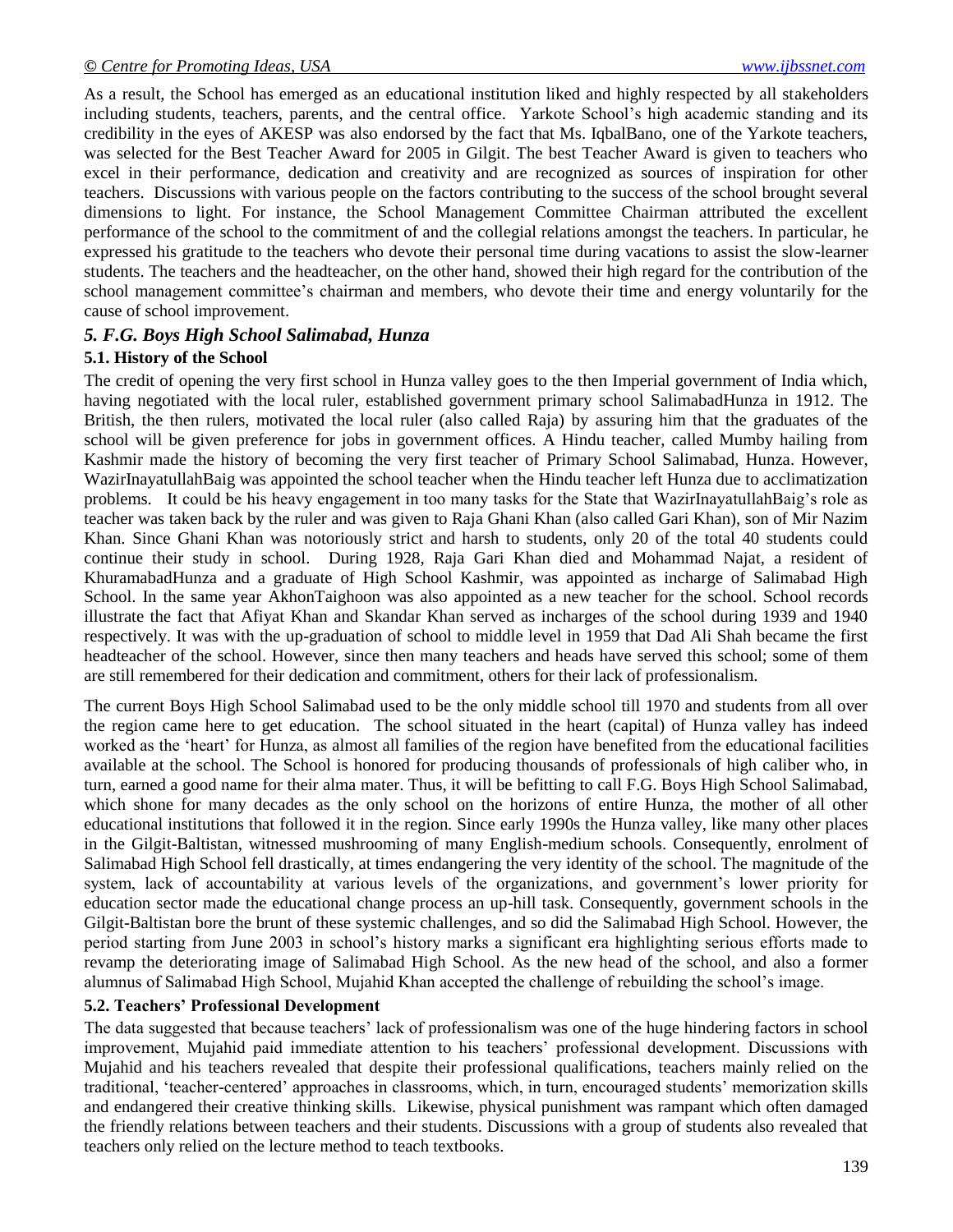As a result, the School has emerged as an educational institution liked and highly respected by all stakeholders including students, teachers, parents, and the central office. Yarkote School's high academic standing and its credibility in the eyes of AKESP was also endorsed by the fact that Ms. IqbalBano, one of the Yarkote teachers, was selected for the Best Teacher Award for 2005 in Gilgit. The best Teacher Award is given to teachers who excel in their performance, dedication and creativity and are recognized as sources of inspiration for other teachers. Discussions with various people on the factors contributing to the success of the school brought several dimensions to light. For instance, the School Management Committee Chairman attributed the excellent performance of the school to the commitment of and the collegial relations amongst the teachers. In particular, he expressed his gratitude to the teachers who devote their personal time during vacations to assist the slow-learner students. The teachers and the headteacher, on the other hand, showed their high regard for the contribution of the school management committee's chairman and members, who devote their time and energy voluntarily for the cause of school improvement.

## *5. F.G. Boys High School Salimabad, Hunza*

## **5.1. History of the School**

The credit of opening the very first school in Hunza valley goes to the then Imperial government of India which, having negotiated with the local ruler, established government primary school SalimabadHunza in 1912. The British, the then rulers, motivated the local ruler (also called Raja) by assuring him that the graduates of the school will be given preference for jobs in government offices. A Hindu teacher, called Mumby hailing from Kashmir made the history of becoming the very first teacher of Primary School Salimabad, Hunza. However, WazirInayatullahBaig was appointed the school teacher when the Hindu teacher left Hunza due to acclimatization problems. It could be his heavy engagement in too many tasks for the State that WazirInayatullahBaig's role as teacher was taken back by the ruler and was given to Raja Ghani Khan (also called Gari Khan), son of Mir Nazim Khan. Since Ghani Khan was notoriously strict and harsh to students, only 20 of the total 40 students could continue their study in school. During 1928, Raja Gari Khan died and Mohammad Najat, a resident of KhuramabadHunza and a graduate of High School Kashmir, was appointed as incharge of Salimabad High School. In the same year AkhonTaighoon was also appointed as a new teacher for the school. School records illustrate the fact that Afiyat Khan and Skandar Khan served as incharges of the school during 1939 and 1940 respectively. It was with the up-graduation of school to middle level in 1959 that Dad Ali Shah became the first headteacher of the school. However, since then many teachers and heads have served this school; some of them are still remembered for their dedication and commitment, others for their lack of professionalism.

The current Boys High School Salimabad used to be the only middle school till 1970 and students from all over the region came here to get education. The school situated in the heart (capital) of Hunza valley has indeed worked as the 'heart' for Hunza, as almost all families of the region have benefited from the educational facilities available at the school. The School is honored for producing thousands of professionals of high caliber who, in turn, earned a good name for their alma mater. Thus, it will be befitting to call F.G. Boys High School Salimabad, which shone for many decades as the only school on the horizons of entire Hunza, the mother of all other educational institutions that followed it in the region. Since early 1990s the Hunza valley, like many other places in the Gilgit-Baltistan, witnessed mushrooming of many English-medium schools. Consequently, enrolment of Salimabad High School fell drastically, at times endangering the very identity of the school. The magnitude of the system, lack of accountability at various levels of the organizations, and government's lower priority for education sector made the educational change process an up-hill task. Consequently, government schools in the Gilgit-Baltistan bore the brunt of these systemic challenges, and so did the Salimabad High School. However, the period starting from June 2003 in school's history marks a significant era highlighting serious efforts made to revamp the deteriorating image of Salimabad High School. As the new head of the school, and also a former alumnus of Salimabad High School, Mujahid Khan accepted the challenge of rebuilding the school's image.

## **5.2. Teachers' Professional Development**

The data suggested that because teachers' lack of professionalism was one of the huge hindering factors in school improvement, Mujahid paid immediate attention to his teachers' professional development. Discussions with Mujahid and his teachers revealed that despite their professional qualifications, teachers mainly relied on the traditional, ‗teacher-centered' approaches in classrooms, which, in turn, encouraged students' memorization skills and endangered their creative thinking skills. Likewise, physical punishment was rampant which often damaged the friendly relations between teachers and their students. Discussions with a group of students also revealed that teachers only relied on the lecture method to teach textbooks.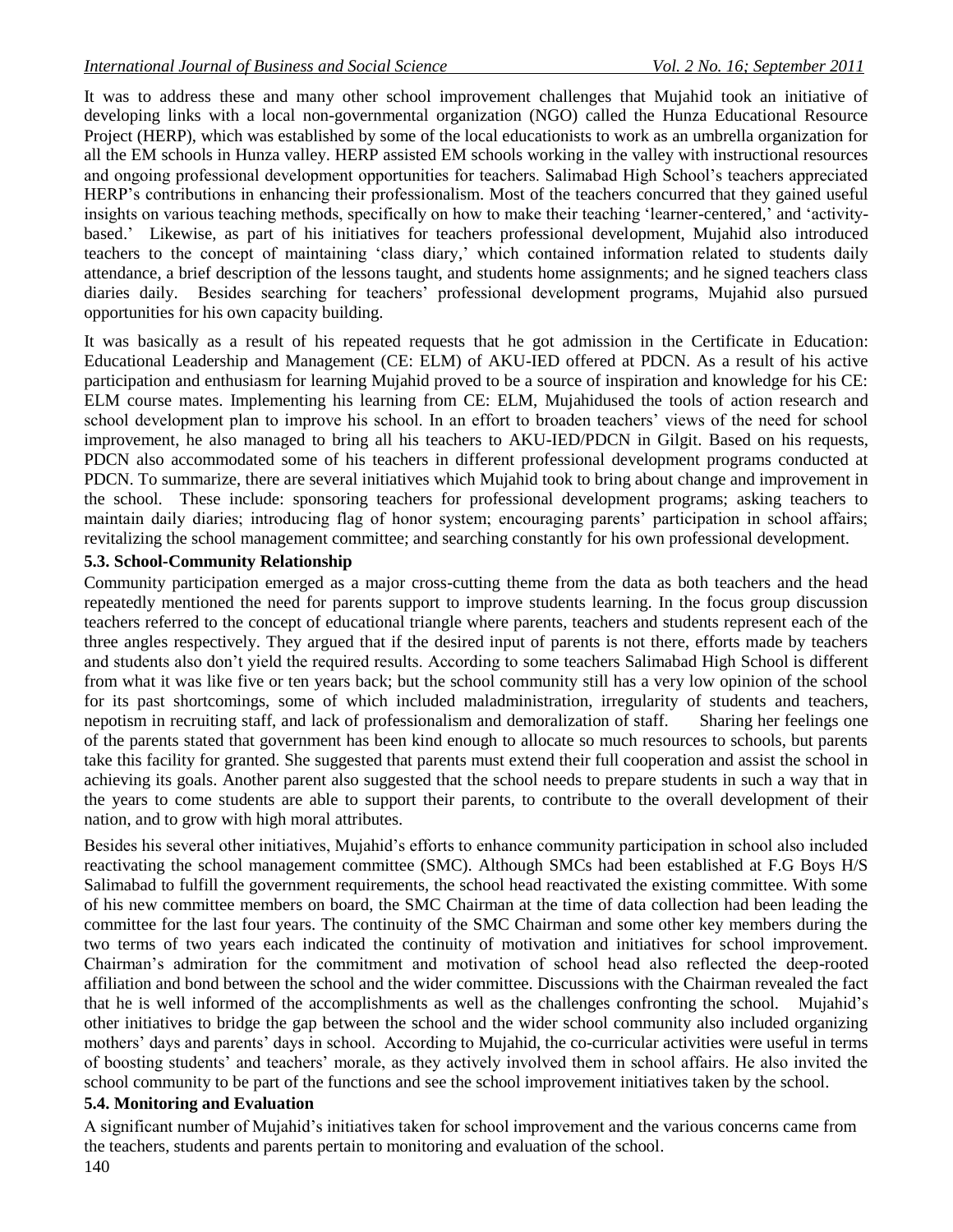It was to address these and many other school improvement challenges that Mujahid took an initiative of developing links with a local non-governmental organization (NGO) called the Hunza Educational Resource Project (HERP), which was established by some of the local educationists to work as an umbrella organization for all the EM schools in Hunza valley. HERP assisted EM schools working in the valley with instructional resources and ongoing professional development opportunities for teachers. Salimabad High School's teachers appreciated HERP's contributions in enhancing their professionalism. Most of the teachers concurred that they gained useful insights on various teaching methods, specifically on how to make their teaching 'learner-centered,' and 'activitybased.' Likewise, as part of his initiatives for teachers professional development, Mujahid also introduced teachers to the concept of maintaining 'class diary,' which contained information related to students daily attendance, a brief description of the lessons taught, and students home assignments; and he signed teachers class diaries daily. Besides searching for teachers' professional development programs, Mujahid also pursued opportunities for his own capacity building.

It was basically as a result of his repeated requests that he got admission in the Certificate in Education: Educational Leadership and Management (CE: ELM) of AKU-IED offered at PDCN. As a result of his active participation and enthusiasm for learning Mujahid proved to be a source of inspiration and knowledge for his CE: ELM course mates. Implementing his learning from CE: ELM, Mujahidused the tools of action research and school development plan to improve his school. In an effort to broaden teachers' views of the need for school improvement, he also managed to bring all his teachers to AKU-IED/PDCN in Gilgit. Based on his requests, PDCN also accommodated some of his teachers in different professional development programs conducted at PDCN. To summarize, there are several initiatives which Mujahid took to bring about change and improvement in the school. These include: sponsoring teachers for professional development programs; asking teachers to maintain daily diaries; introducing flag of honor system; encouraging parents' participation in school affairs; revitalizing the school management committee; and searching constantly for his own professional development.

## **5.3. School-Community Relationship**

Community participation emerged as a major cross-cutting theme from the data as both teachers and the head repeatedly mentioned the need for parents support to improve students learning. In the focus group discussion teachers referred to the concept of educational triangle where parents, teachers and students represent each of the three angles respectively. They argued that if the desired input of parents is not there, efforts made by teachers and students also don't yield the required results. According to some teachers Salimabad High School is different from what it was like five or ten years back; but the school community still has a very low opinion of the school for its past shortcomings, some of which included maladministration, irregularity of students and teachers, nepotism in recruiting staff, and lack of professionalism and demoralization of staff. Sharing her feelings one of the parents stated that government has been kind enough to allocate so much resources to schools, but parents take this facility for granted. She suggested that parents must extend their full cooperation and assist the school in achieving its goals. Another parent also suggested that the school needs to prepare students in such a way that in the years to come students are able to support their parents, to contribute to the overall development of their nation, and to grow with high moral attributes.

Besides his several other initiatives, Mujahid's efforts to enhance community participation in school also included reactivating the school management committee (SMC). Although SMCs had been established at F.G Boys H/S Salimabad to fulfill the government requirements, the school head reactivated the existing committee. With some of his new committee members on board, the SMC Chairman at the time of data collection had been leading the committee for the last four years. The continuity of the SMC Chairman and some other key members during the two terms of two years each indicated the continuity of motivation and initiatives for school improvement. Chairman's admiration for the commitment and motivation of school head also reflected the deep-rooted affiliation and bond between the school and the wider committee. Discussions with the Chairman revealed the fact that he is well informed of the accomplishments as well as the challenges confronting the school. Mujahid's other initiatives to bridge the gap between the school and the wider school community also included organizing mothers' days and parents' days in school. According to Mujahid, the co-curricular activities were useful in terms of boosting students' and teachers' morale, as they actively involved them in school affairs. He also invited the school community to be part of the functions and see the school improvement initiatives taken by the school.

## **5.4. Monitoring and Evaluation**

A significant number of Mujahid's initiatives taken for school improvement and the various concerns came from the teachers, students and parents pertain to monitoring and evaluation of the school.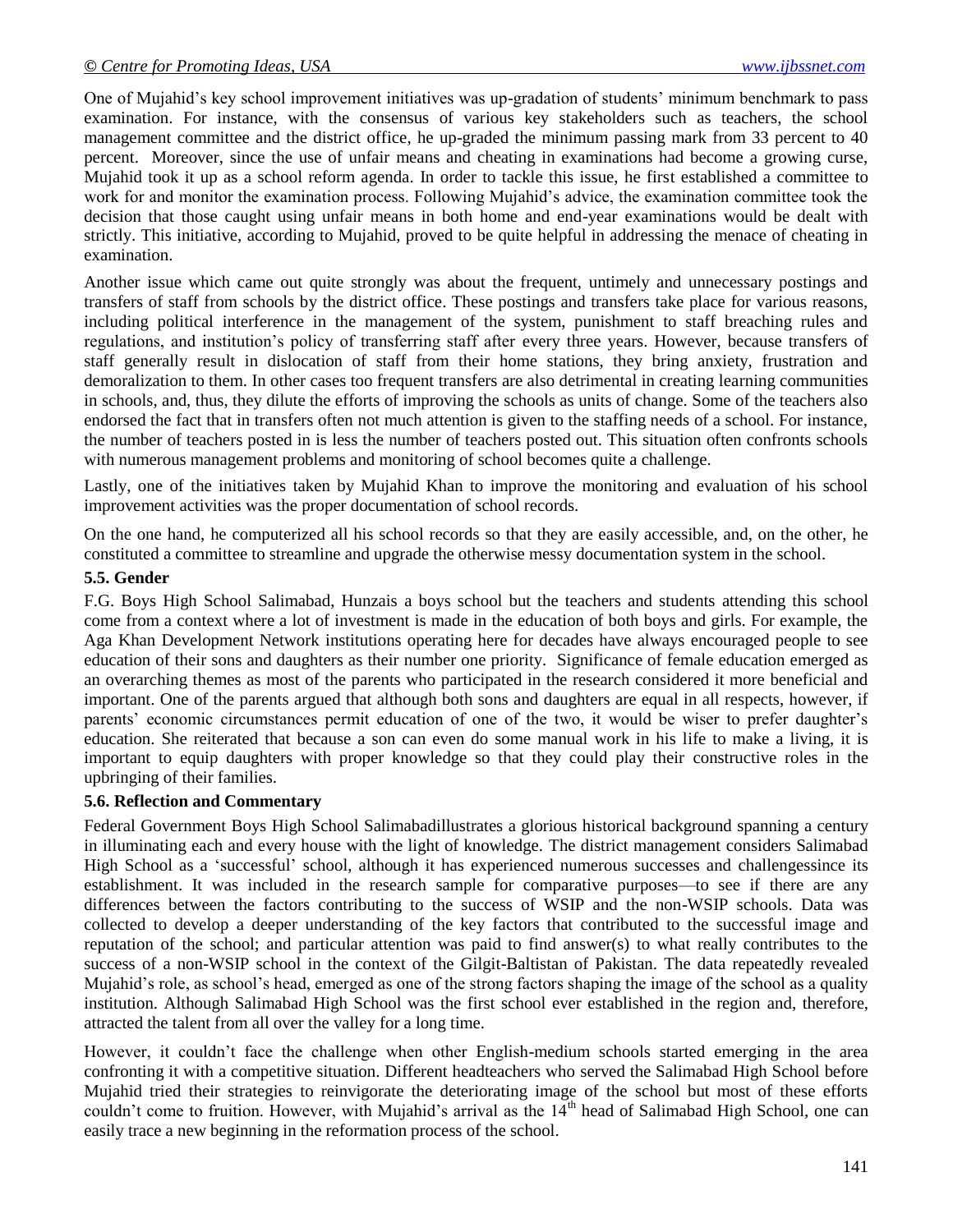One of Mujahid's key school improvement initiatives was up-gradation of students' minimum benchmark to pass examination. For instance, with the consensus of various key stakeholders such as teachers, the school management committee and the district office, he up-graded the minimum passing mark from 33 percent to 40 percent. Moreover, since the use of unfair means and cheating in examinations had become a growing curse, Mujahid took it up as a school reform agenda. In order to tackle this issue, he first established a committee to work for and monitor the examination process. Following Mujahid's advice, the examination committee took the decision that those caught using unfair means in both home and end-year examinations would be dealt with strictly. This initiative, according to Mujahid, proved to be quite helpful in addressing the menace of cheating in examination.

Another issue which came out quite strongly was about the frequent, untimely and unnecessary postings and transfers of staff from schools by the district office. These postings and transfers take place for various reasons, including political interference in the management of the system, punishment to staff breaching rules and regulations, and institution's policy of transferring staff after every three years. However, because transfers of staff generally result in dislocation of staff from their home stations, they bring anxiety, frustration and demoralization to them. In other cases too frequent transfers are also detrimental in creating learning communities in schools, and, thus, they dilute the efforts of improving the schools as units of change. Some of the teachers also endorsed the fact that in transfers often not much attention is given to the staffing needs of a school. For instance, the number of teachers posted in is less the number of teachers posted out. This situation often confronts schools with numerous management problems and monitoring of school becomes quite a challenge.

Lastly, one of the initiatives taken by Mujahid Khan to improve the monitoring and evaluation of his school improvement activities was the proper documentation of school records.

On the one hand, he computerized all his school records so that they are easily accessible, and, on the other, he constituted a committee to streamline and upgrade the otherwise messy documentation system in the school.

#### **5.5. Gender**

F.G. Boys High School Salimabad, Hunzais a boys school but the teachers and students attending this school come from a context where a lot of investment is made in the education of both boys and girls. For example, the Aga Khan Development Network institutions operating here for decades have always encouraged people to see education of their sons and daughters as their number one priority. Significance of female education emerged as an overarching themes as most of the parents who participated in the research considered it more beneficial and important. One of the parents argued that although both sons and daughters are equal in all respects, however, if parents' economic circumstances permit education of one of the two, it would be wiser to prefer daughter's education. She reiterated that because a son can even do some manual work in his life to make a living, it is important to equip daughters with proper knowledge so that they could play their constructive roles in the upbringing of their families.

#### **5.6. Reflection and Commentary**

Federal Government Boys High School Salimabadillustrates a glorious historical background spanning a century in illuminating each and every house with the light of knowledge. The district management considers Salimabad High School as a 'successful' school, although it has experienced numerous successes and challengessince its establishment. It was included in the research sample for comparative purposes—to see if there are any differences between the factors contributing to the success of WSIP and the non-WSIP schools. Data was collected to develop a deeper understanding of the key factors that contributed to the successful image and reputation of the school; and particular attention was paid to find answer(s) to what really contributes to the success of a non-WSIP school in the context of the Gilgit-Baltistan of Pakistan. The data repeatedly revealed Mujahid's role, as school's head, emerged as one of the strong factors shaping the image of the school as a quality institution. Although Salimabad High School was the first school ever established in the region and, therefore, attracted the talent from all over the valley for a long time.

However, it couldn't face the challenge when other English-medium schools started emerging in the area confronting it with a competitive situation. Different headteachers who served the Salimabad High School before Mujahid tried their strategies to reinvigorate the deteriorating image of the school but most of these efforts couldn't come to fruition. However, with Mujahid's arrival as the 14<sup>th</sup> head of Salimabad High School, one can easily trace a new beginning in the reformation process of the school.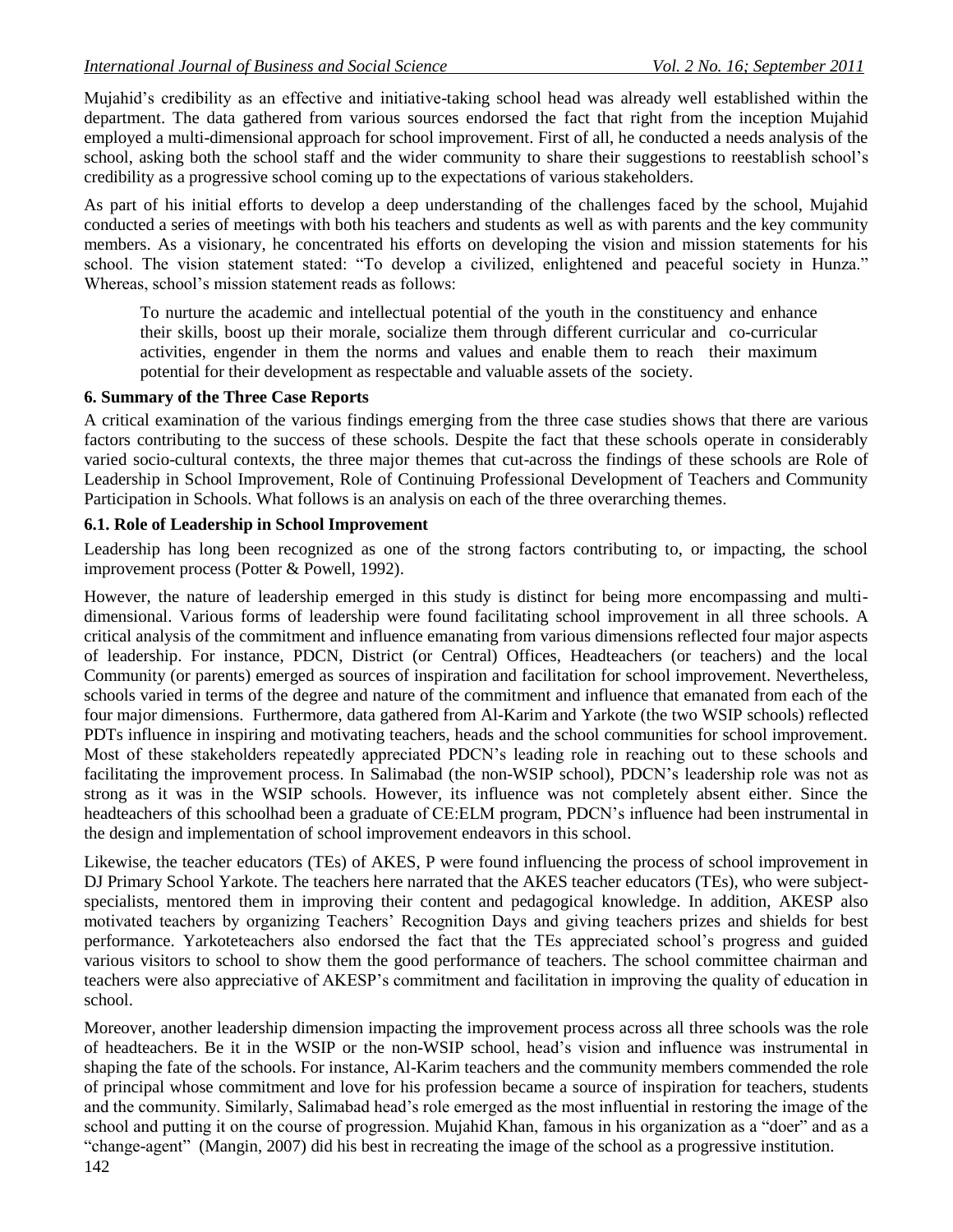Mujahid's credibility as an effective and initiative-taking school head was already well established within the department. The data gathered from various sources endorsed the fact that right from the inception Mujahid employed a multi-dimensional approach for school improvement. First of all, he conducted a needs analysis of the school, asking both the school staff and the wider community to share their suggestions to reestablish school's credibility as a progressive school coming up to the expectations of various stakeholders.

As part of his initial efforts to develop a deep understanding of the challenges faced by the school, Mujahid conducted a series of meetings with both his teachers and students as well as with parents and the key community members. As a visionary, he concentrated his efforts on developing the vision and mission statements for his school. The vision statement stated: "To develop a civilized, enlightened and peaceful society in Hunza." Whereas, school's mission statement reads as follows:

To nurture the academic and intellectual potential of the youth in the constituency and enhance their skills, boost up their morale, socialize them through different curricular and co-curricular activities, engender in them the norms and values and enable them to reach their maximum potential for their development as respectable and valuable assets of the society.

#### **6. Summary of the Three Case Reports**

A critical examination of the various findings emerging from the three case studies shows that there are various factors contributing to the success of these schools. Despite the fact that these schools operate in considerably varied socio-cultural contexts, the three major themes that cut-across the findings of these schools are Role of Leadership in School Improvement, Role of Continuing Professional Development of Teachers and Community Participation in Schools. What follows is an analysis on each of the three overarching themes.

#### **6.1. Role of Leadership in School Improvement**

Leadership has long been recognized as one of the strong factors contributing to, or impacting, the school improvement process (Potter & Powell, 1992).

However, the nature of leadership emerged in this study is distinct for being more encompassing and multidimensional. Various forms of leadership were found facilitating school improvement in all three schools. A critical analysis of the commitment and influence emanating from various dimensions reflected four major aspects of leadership. For instance, PDCN, District (or Central) Offices, Headteachers (or teachers) and the local Community (or parents) emerged as sources of inspiration and facilitation for school improvement. Nevertheless, schools varied in terms of the degree and nature of the commitment and influence that emanated from each of the four major dimensions. Furthermore, data gathered from Al-Karim and Yarkote (the two WSIP schools) reflected PDTs influence in inspiring and motivating teachers, heads and the school communities for school improvement. Most of these stakeholders repeatedly appreciated PDCN's leading role in reaching out to these schools and facilitating the improvement process. In Salimabad (the non-WSIP school), PDCN's leadership role was not as strong as it was in the WSIP schools. However, its influence was not completely absent either. Since the headteachers of this schoolhad been a graduate of CE:ELM program, PDCN's influence had been instrumental in the design and implementation of school improvement endeavors in this school.

Likewise, the teacher educators (TEs) of AKES, P were found influencing the process of school improvement in DJ Primary School Yarkote. The teachers here narrated that the AKES teacher educators (TEs), who were subjectspecialists, mentored them in improving their content and pedagogical knowledge. In addition, AKESP also motivated teachers by organizing Teachers' Recognition Days and giving teachers prizes and shields for best performance. Yarkoteteachers also endorsed the fact that the TEs appreciated school's progress and guided various visitors to school to show them the good performance of teachers. The school committee chairman and teachers were also appreciative of AKESP's commitment and facilitation in improving the quality of education in school.

Moreover, another leadership dimension impacting the improvement process across all three schools was the role of headteachers. Be it in the WSIP or the non-WSIP school, head's vision and influence was instrumental in shaping the fate of the schools. For instance, Al-Karim teachers and the community members commended the role of principal whose commitment and love for his profession became a source of inspiration for teachers, students and the community. Similarly, Salimabad head's role emerged as the most influential in restoring the image of the school and putting it on the course of progression. Mujahid Khan, famous in his organization as a "doer" and as a ―change-agent‖ (Mangin, 2007) did his best in recreating the image of the school as a progressive institution.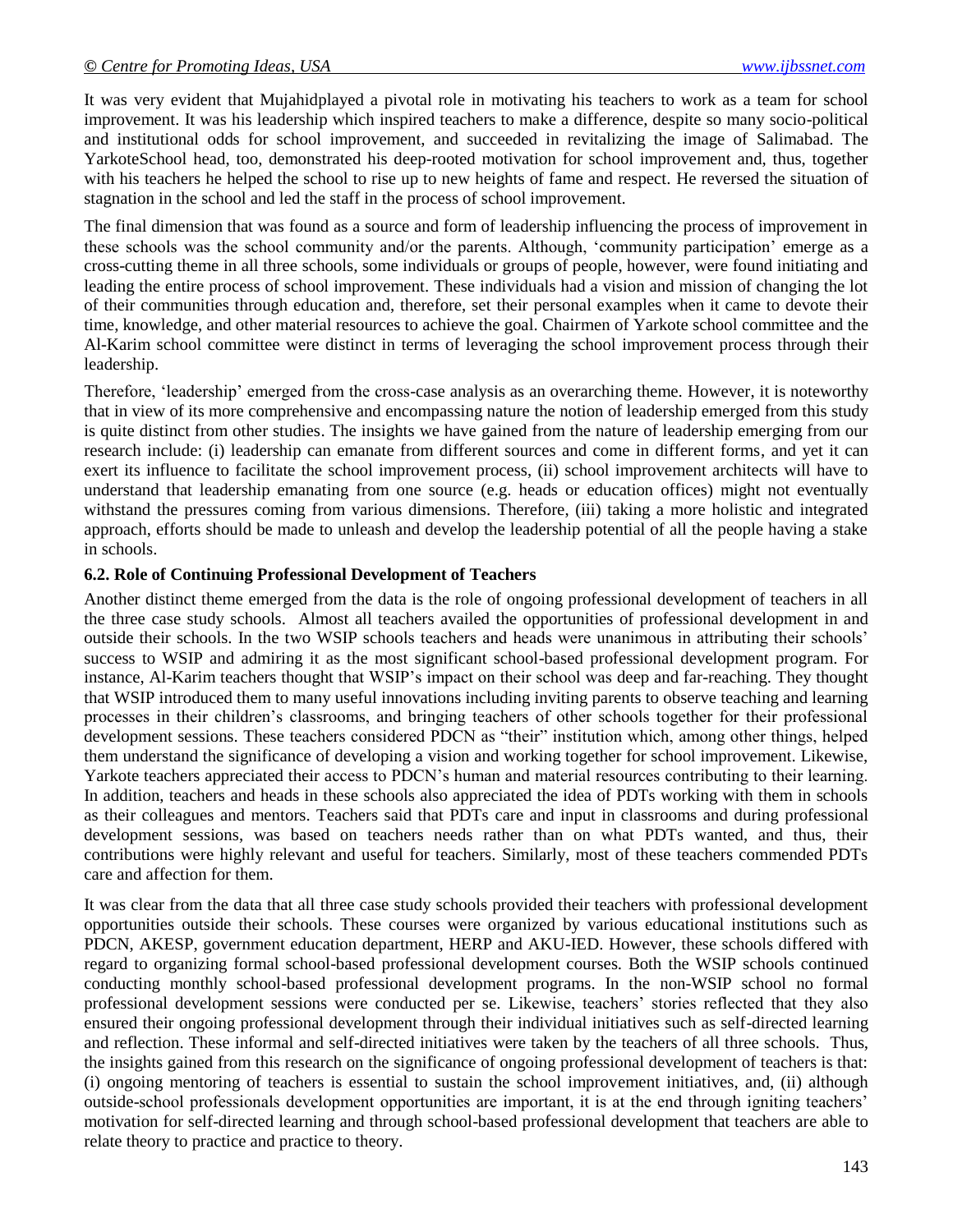It was very evident that Mujahidplayed a pivotal role in motivating his teachers to work as a team for school improvement. It was his leadership which inspired teachers to make a difference, despite so many socio-political and institutional odds for school improvement, and succeeded in revitalizing the image of Salimabad. The YarkoteSchool head, too, demonstrated his deep-rooted motivation for school improvement and, thus, together with his teachers he helped the school to rise up to new heights of fame and respect. He reversed the situation of stagnation in the school and led the staff in the process of school improvement.

The final dimension that was found as a source and form of leadership influencing the process of improvement in these schools was the school community and/or the parents. Although, 'community participation' emerge as a cross-cutting theme in all three schools, some individuals or groups of people, however, were found initiating and leading the entire process of school improvement. These individuals had a vision and mission of changing the lot of their communities through education and, therefore, set their personal examples when it came to devote their time, knowledge, and other material resources to achieve the goal. Chairmen of Yarkote school committee and the Al-Karim school committee were distinct in terms of leveraging the school improvement process through their leadership.

Therefore, 'leadership' emerged from the cross-case analysis as an overarching theme. However, it is noteworthy that in view of its more comprehensive and encompassing nature the notion of leadership emerged from this study is quite distinct from other studies. The insights we have gained from the nature of leadership emerging from our research include: (i) leadership can emanate from different sources and come in different forms, and yet it can exert its influence to facilitate the school improvement process, (ii) school improvement architects will have to understand that leadership emanating from one source (e.g. heads or education offices) might not eventually withstand the pressures coming from various dimensions. Therefore, (iii) taking a more holistic and integrated approach, efforts should be made to unleash and develop the leadership potential of all the people having a stake in schools.

#### **6.2. Role of Continuing Professional Development of Teachers**

Another distinct theme emerged from the data is the role of ongoing professional development of teachers in all the three case study schools. Almost all teachers availed the opportunities of professional development in and outside their schools. In the two WSIP schools teachers and heads were unanimous in attributing their schools' success to WSIP and admiring it as the most significant school-based professional development program. For instance, Al-Karim teachers thought that WSIP's impact on their school was deep and far-reaching. They thought that WSIP introduced them to many useful innovations including inviting parents to observe teaching and learning processes in their children's classrooms, and bringing teachers of other schools together for their professional development sessions. These teachers considered PDCN as "their" institution which, among other things, helped them understand the significance of developing a vision and working together for school improvement. Likewise, Yarkote teachers appreciated their access to PDCN's human and material resources contributing to their learning. In addition, teachers and heads in these schools also appreciated the idea of PDTs working with them in schools as their colleagues and mentors. Teachers said that PDTs care and input in classrooms and during professional development sessions, was based on teachers needs rather than on what PDTs wanted, and thus, their contributions were highly relevant and useful for teachers. Similarly, most of these teachers commended PDTs care and affection for them.

It was clear from the data that all three case study schools provided their teachers with professional development opportunities outside their schools. These courses were organized by various educational institutions such as PDCN, AKESP, government education department, HERP and AKU-IED. However, these schools differed with regard to organizing formal school-based professional development courses. Both the WSIP schools continued conducting monthly school-based professional development programs. In the non-WSIP school no formal professional development sessions were conducted per se. Likewise, teachers' stories reflected that they also ensured their ongoing professional development through their individual initiatives such as self-directed learning and reflection. These informal and self-directed initiatives were taken by the teachers of all three schools. Thus, the insights gained from this research on the significance of ongoing professional development of teachers is that: (i) ongoing mentoring of teachers is essential to sustain the school improvement initiatives, and, (ii) although outside-school professionals development opportunities are important, it is at the end through igniting teachers' motivation for self-directed learning and through school-based professional development that teachers are able to relate theory to practice and practice to theory.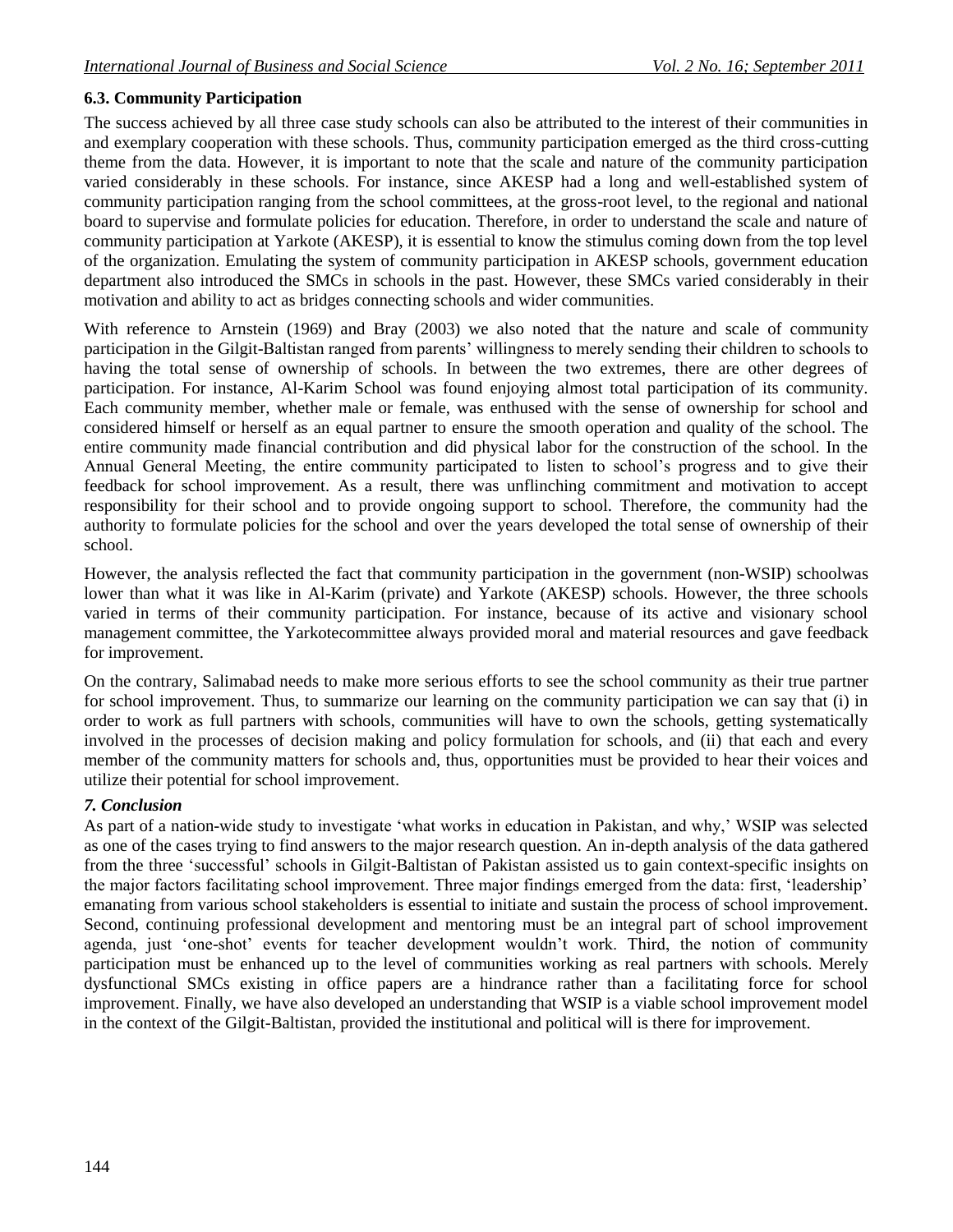# **6.3. Community Participation**

The success achieved by all three case study schools can also be attributed to the interest of their communities in and exemplary cooperation with these schools. Thus, community participation emerged as the third cross-cutting theme from the data. However, it is important to note that the scale and nature of the community participation varied considerably in these schools. For instance, since AKESP had a long and well-established system of community participation ranging from the school committees, at the gross-root level, to the regional and national board to supervise and formulate policies for education. Therefore, in order to understand the scale and nature of community participation at Yarkote (AKESP), it is essential to know the stimulus coming down from the top level of the organization. Emulating the system of community participation in AKESP schools, government education department also introduced the SMCs in schools in the past. However, these SMCs varied considerably in their motivation and ability to act as bridges connecting schools and wider communities.

With reference to Arnstein (1969) and Bray (2003) we also noted that the nature and scale of community participation in the Gilgit-Baltistan ranged from parents' willingness to merely sending their children to schools to having the total sense of ownership of schools. In between the two extremes, there are other degrees of participation. For instance, Al-Karim School was found enjoying almost total participation of its community. Each community member, whether male or female, was enthused with the sense of ownership for school and considered himself or herself as an equal partner to ensure the smooth operation and quality of the school. The entire community made financial contribution and did physical labor for the construction of the school. In the Annual General Meeting, the entire community participated to listen to school's progress and to give their feedback for school improvement. As a result, there was unflinching commitment and motivation to accept responsibility for their school and to provide ongoing support to school. Therefore, the community had the authority to formulate policies for the school and over the years developed the total sense of ownership of their school.

However, the analysis reflected the fact that community participation in the government (non-WSIP) schoolwas lower than what it was like in Al-Karim (private) and Yarkote (AKESP) schools. However, the three schools varied in terms of their community participation. For instance, because of its active and visionary school management committee, the Yarkotecommittee always provided moral and material resources and gave feedback for improvement.

On the contrary, Salimabad needs to make more serious efforts to see the school community as their true partner for school improvement. Thus, to summarize our learning on the community participation we can say that (i) in order to work as full partners with schools, communities will have to own the schools, getting systematically involved in the processes of decision making and policy formulation for schools, and (ii) that each and every member of the community matters for schools and, thus, opportunities must be provided to hear their voices and utilize their potential for school improvement.

## *7. Conclusion*

As part of a nation-wide study to investigate 'what works in education in Pakistan, and why,' WSIP was selected as one of the cases trying to find answers to the major research question. An in-depth analysis of the data gathered from the three 'successful' schools in Gilgit-Baltistan of Pakistan assisted us to gain context-specific insights on the major factors facilitating school improvement. Three major findings emerged from the data: first, 'leadership' emanating from various school stakeholders is essential to initiate and sustain the process of school improvement. Second, continuing professional development and mentoring must be an integral part of school improvement agenda, just 'one-shot' events for teacher development wouldn't work. Third, the notion of community participation must be enhanced up to the level of communities working as real partners with schools. Merely dysfunctional SMCs existing in office papers are a hindrance rather than a facilitating force for school improvement. Finally, we have also developed an understanding that WSIP is a viable school improvement model in the context of the Gilgit-Baltistan, provided the institutional and political will is there for improvement.